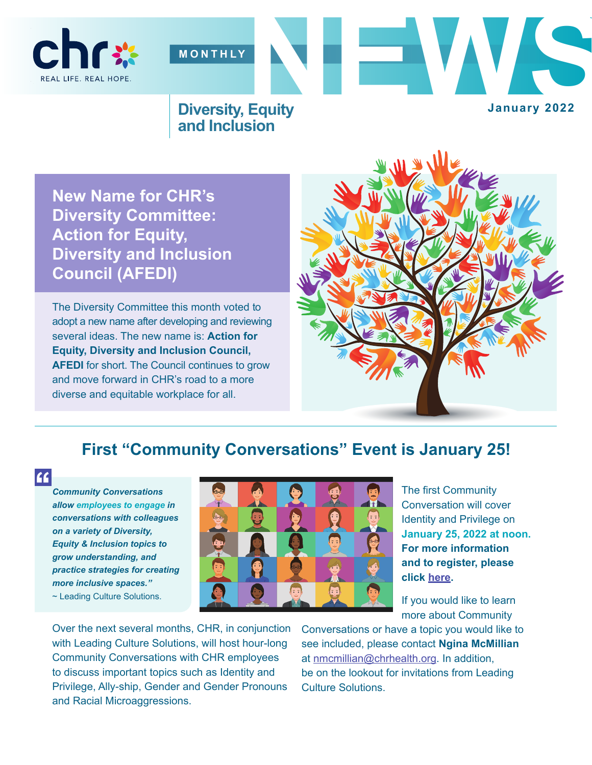



#### **Diversity, Equity and Inclusion**

**January 2022**

**New Name for CHR's Diversity Committee: Action for Equity, Diversity and Inclusion Council (AFEDI)**

The Diversity Committee this month voted to adopt a new name after developing and reviewing several ideas. The new name is: **Action for Equity, Diversity and Inclusion Council, AFEDI** for short. The Council continues to grow and move forward in CHR's road to a more diverse and equitable workplace for all.



### **First "Community Conversations" Event is January 25!**

**''**

*Community Conversations allow employees to engage in conversations with colleagues on a variety of Diversity, Equity & Inclusion topics to grow understanding, and practice strategies for creating more inclusive spaces."*  ~ Leading Culture Solutions.



The first Community Conversation will cover Identity and Privilege on **January 25, 2022 at noon. For more information and to register, please click [here](https://us06web.zoom.us/meeting/register/tZ0pdeirrjIvHdIGC7Zjoh8JaAxfkWdrNlDk).** 

If you would like to learn more about Community

Over the next several months, CHR, in conjunction with Leading Culture Solutions, will host hour-long Community Conversations with CHR employees to discuss important topics such as Identity and Privilege, Ally-ship, Gender and Gender Pronouns and Racial Microaggressions.

Conversations or have a topic you would like to see included, please contact **Ngina McMillian** at nmcmillian@chrhealth.org. In addition, be on the lookout for invitations from Leading Culture Solutions.